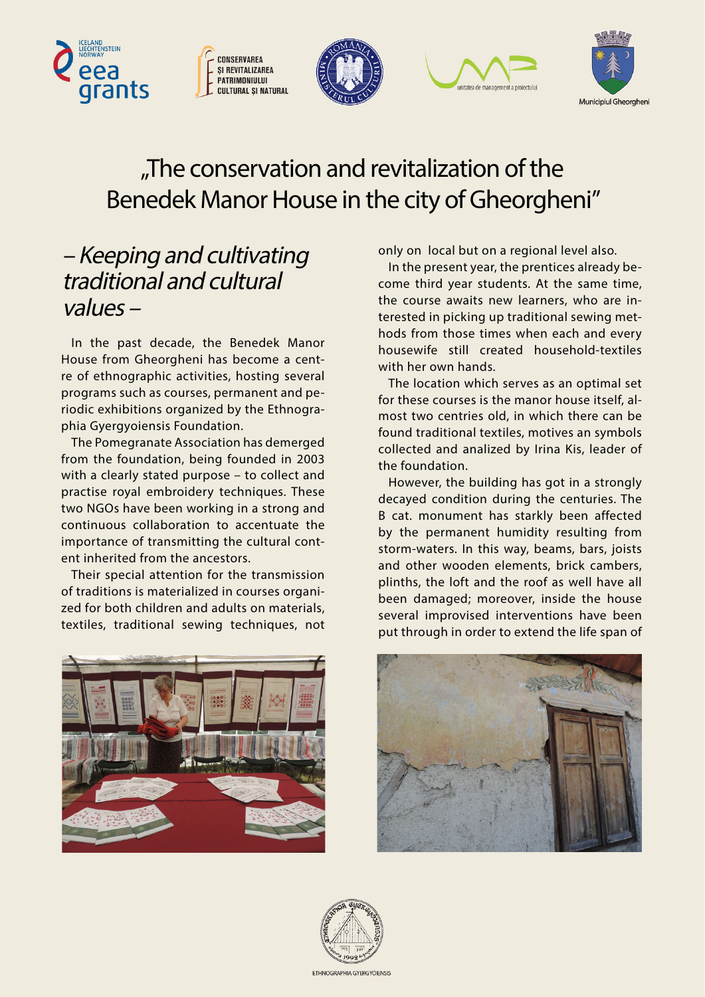









## "The conservation and revitalization of the Benedek Manor House in the city of Gheorgheni"

## – Keeping and cultivating traditional and cultural values –

In the past decade, the Benedek Manor House from Gheorgheni has become a centre of ethnographic activities, hosting several programs such as courses, permanent and periodic exhibitions organized by the Ethnographia Gyergyoiensis Foundation.

The Pomegranate Association has demerged from the foundation, being founded in 2003 with a clearly stated purpose – to collect and practise royal embroidery techniques. These two NGOs have been working in a strong and continuous collaboration to accentuate the importance of transmitting the cultural content inherited from the ancestors.

Their special attention for the transmission of traditions is materialized in courses organized for both children and adults on materials, textiles, traditional sewing techniques, not

only on local but on a regional level also.

In the present year, the prentices already become third year students. At the same time, the course awaits new learners, who are interested in picking up traditional sewing methods from those times when each and every housewife still created household-textiles with her own hands.

The location which serves as an optimal set for these courses is the manor house itself, almost two centries old, in which there can be found traditional textiles, motives an symbols collected and analized by Irina Kis, leader of the foundation.

However, the building has got in a strongly decayed condition during the centuries. The B cat. monument has starkly been affected by the permanent humidity resulting from storm-waters. In this way, beams, bars, joists and other wooden elements, brick cambers, plinths, the loft and the roof as well have all been damaged; moreover, inside the house several improvised interventions have been put through in order to extend the life span of





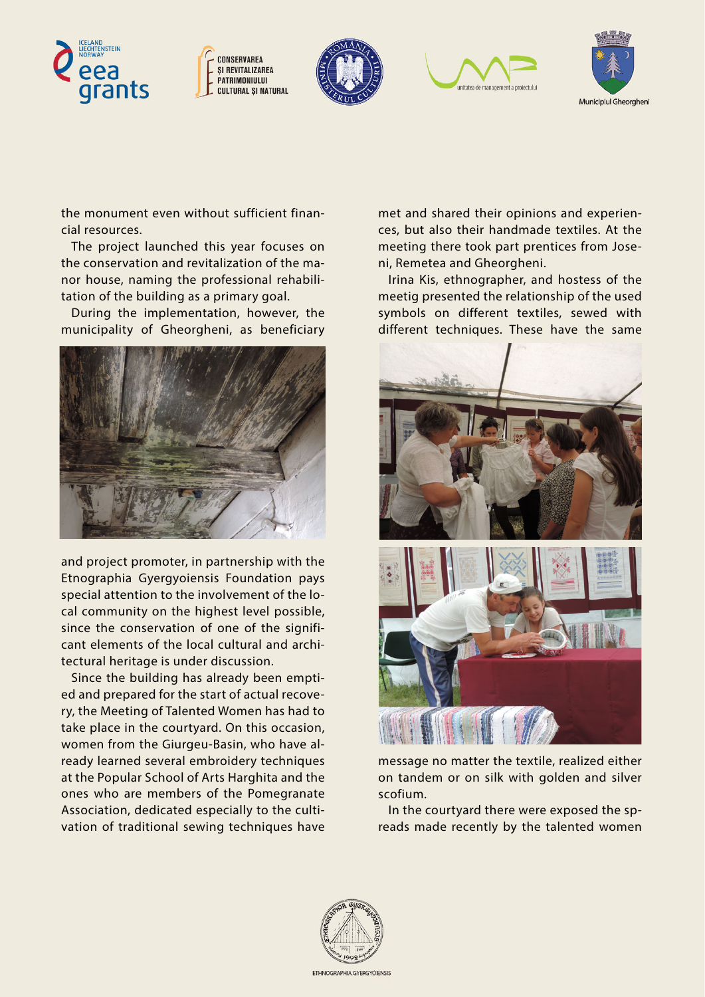









the monument even without sufficient financial resources.

The project launched this year focuses on the conservation and revitalization of the manor house, naming the professional rehabilitation of the building as a primary goal.

During the implementation, however, the municipality of Gheorgheni, as beneficiary



and project promoter, in partnership with the Etnographia Gyergyoiensis Foundation pays special attention to the involvement of the local community on the highest level possible, since the conservation of one of the significant elements of the local cultural and architectural heritage is under discussion.

Since the building has already been emptied and prepared for the start of actual recovery, the Meeting of Talented Women has had to take place in the courtyard. On this occasion, women from the Giurgeu-Basin, who have already learned several embroidery techniques at the Popular School of Arts Harghita and the ones who are members of the Pomegranate Association, dedicated especially to the cultivation of traditional sewing techniques have

met and shared their opinions and experiences, but also their handmade textiles. At the meeting there took part prentices from Joseni, Remetea and Gheorgheni.

Irina Kis, ethnographer, and hostess of the meetig presented the relationship of the used symbols on different textiles, sewed with different techniques. These have the same



message no matter the textile, realized either on tandem or on silk with golden and silver scofium.

In the courtyard there were exposed the spreads made recently by the talented women